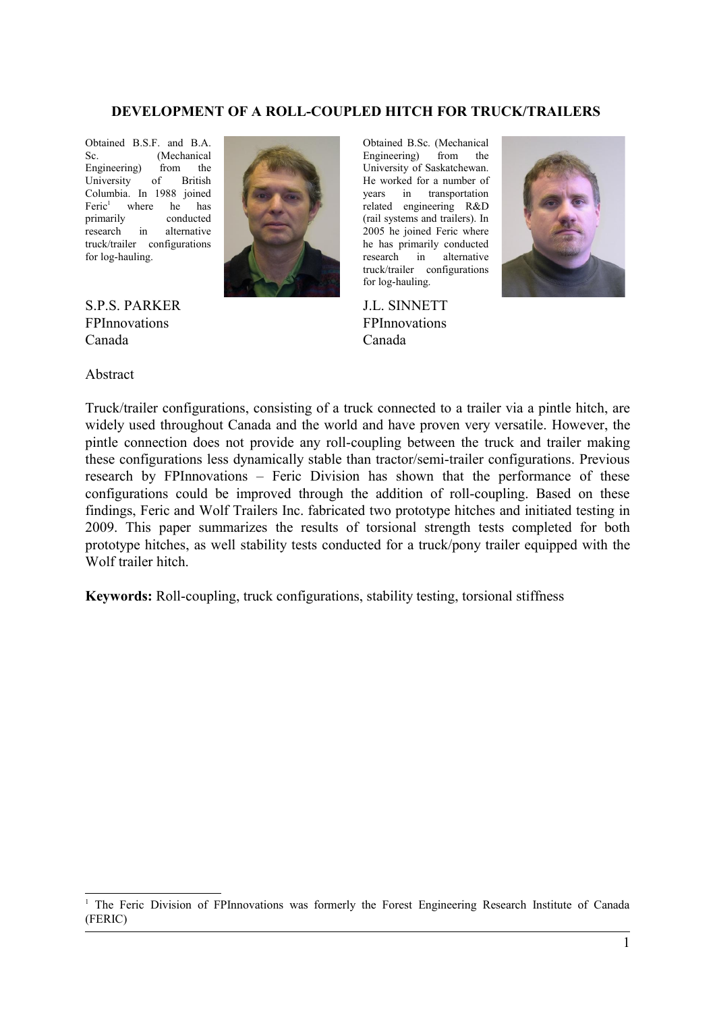#### **DEVELOPMENT OF A ROLL-COUPLED HITCH FOR TRUCK/TRAILERS**

Obtained B.S.F. and B.A. Sc. **(Mechanical**) Engineering) from the University of British Columbia. In 1988 joined Feric<sup>[1](#page-0-0)</sup> where he has primarily conducted research in alternative truck/trailer configurations for log-hauling.



S.P.S. PARKER **FPInnovations** Canada

Obtained B.Sc. (Mechanical Engineering) from the University of Saskatchewan. He worked for a number of years in transportation related engineering R&D (rail systems and trailers). In 2005 he joined Feric where he has primarily conducted research in alternative truck/trailer configurations for log-hauling.

J.L. SINNETT FPInnovations Canada



#### Abstract

Truck/trailer configurations, consisting of a truck connected to a trailer via a pintle hitch, are widely used throughout Canada and the world and have proven very versatile. However, the pintle connection does not provide any roll-coupling between the truck and trailer making these configurations less dynamically stable than tractor/semi-trailer configurations. Previous research by FPInnovations – Feric Division has shown that the performance of these configurations could be improved through the addition of roll-coupling. Based on these findings, Feric and Wolf Trailers Inc. fabricated two prototype hitches and initiated testing in 2009. This paper summarizes the results of torsional strength tests completed for both prototype hitches, as well stability tests conducted for a truck/pony trailer equipped with the Wolf trailer hitch

**Keywords:** Roll-coupling, truck configurations, stability testing, torsional stiffness

<span id="page-0-0"></span><sup>&</sup>lt;sup>1</sup> The Feric Division of FPInnovations was formerly the Forest Engineering Research Institute of Canada (FERIC)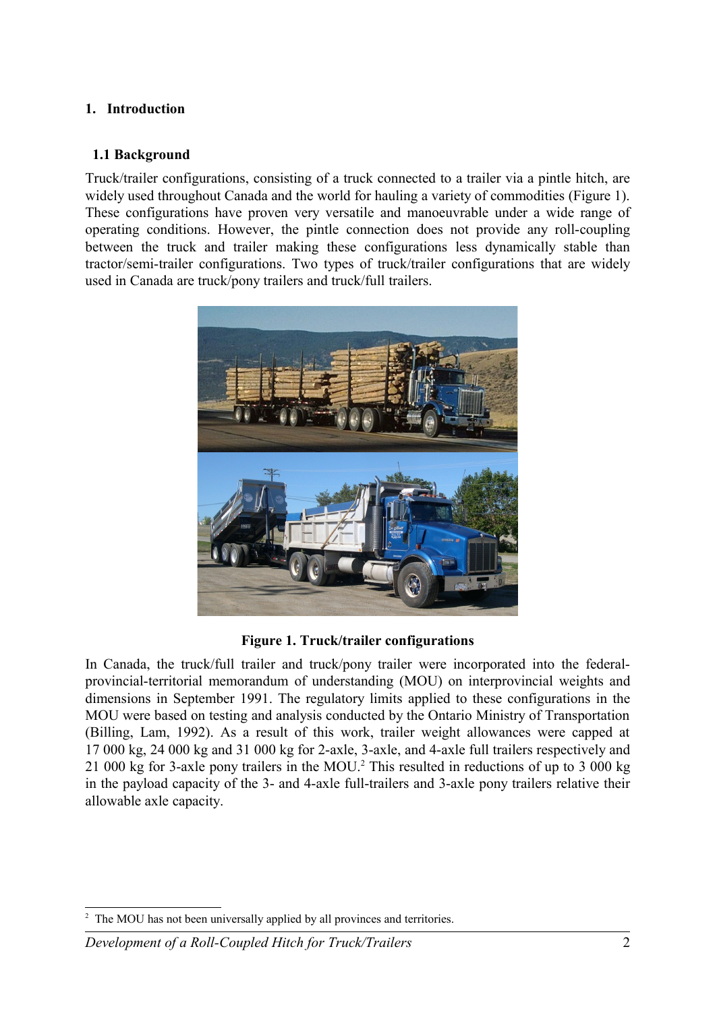# **1. Introduction**

#### **1.1 Background**

Truck/trailer configurations, consisting of a truck connected to a trailer via a pintle hitch, are widely used throughout Canada and the world for hauling a variety of commodities (Figure 1). These configurations have proven very versatile and manoeuvrable under a wide range of operating conditions. However, the pintle connection does not provide any roll-coupling between the truck and trailer making these configurations less dynamically stable than tractor/semi-trailer configurations. Two types of truck/trailer configurations that are widely used in Canada are truck/pony trailers and truck/full trailers.



**Figure 1. Truck/trailer configurations**

In Canada, the truck/full trailer and truck/pony trailer were incorporated into the federalprovincial-territorial memorandum of understanding (MOU) on interprovincial weights and dimensions in September 1991. The regulatory limits applied to these configurations in the MOU were based on testing and analysis conducted by the Ontario Ministry of Transportation (Billing, Lam, 1992). As a result of this work, trailer weight allowances were capped at 17 000 kg, 24 000 kg and 31 000 kg for 2-axle, 3-axle, and 4-axle full trailers respectively and [2](#page-1-0)1 000 kg for 3-axle pony trailers in the MOU.<sup>2</sup> This resulted in reductions of up to 3 000 kg in the payload capacity of the 3- and 4-axle full-trailers and 3-axle pony trailers relative their allowable axle capacity.

<span id="page-1-0"></span><sup>&</sup>lt;sup>2</sup> The MOU has not been universally applied by all provinces and territories.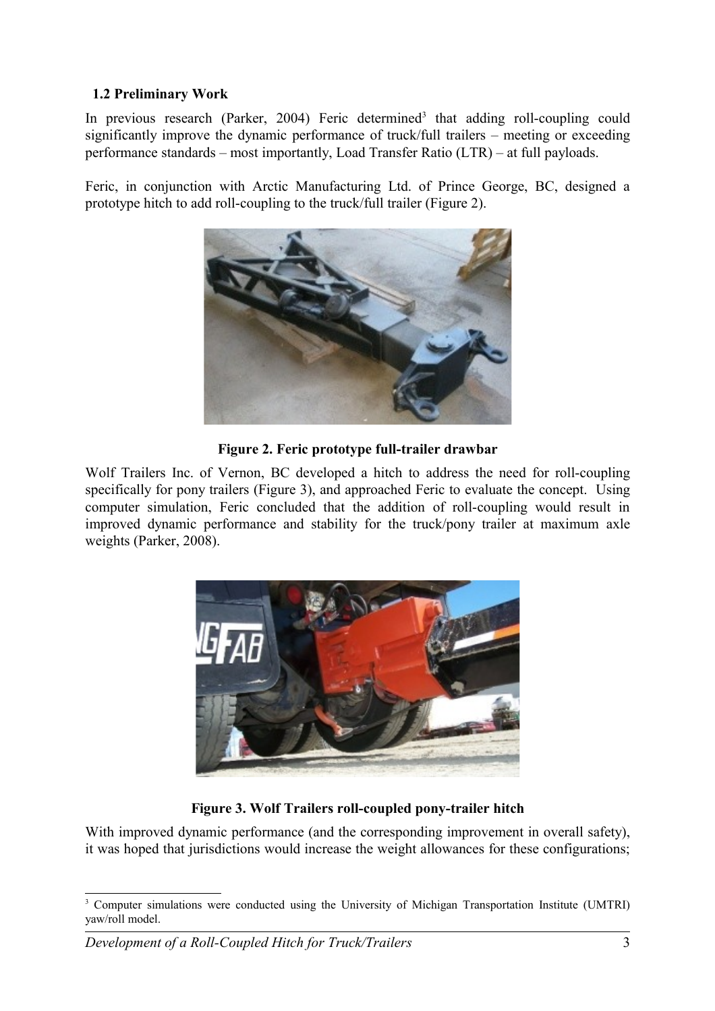## **1.2 Preliminary Work**

In previous research (Parker, 2004) Feric determined<sup>[3](#page-2-0)</sup> that adding roll-coupling could significantly improve the dynamic performance of truck/full trailers – meeting or exceeding performance standards – most importantly, Load Transfer Ratio (LTR) – at full payloads.

Feric, in conjunction with Arctic Manufacturing Ltd. of Prince George, BC, designed a prototype hitch to add roll-coupling to the truck/full trailer (Figure 2).



**Figure 2. Feric prototype full-trailer drawbar**

Wolf Trailers Inc. of Vernon, BC developed a hitch to address the need for roll-coupling specifically for pony trailers (Figure 3), and approached Feric to evaluate the concept. Using computer simulation, Feric concluded that the addition of roll-coupling would result in improved dynamic performance and stability for the truck/pony trailer at maximum axle weights (Parker, 2008).



# **Figure 3. Wolf Trailers roll-coupled pony-trailer hitch**

With improved dynamic performance (and the corresponding improvement in overall safety), it was hoped that jurisdictions would increase the weight allowances for these configurations;

<span id="page-2-0"></span><sup>&</sup>lt;sup>3</sup> Computer simulations were conducted using the University of Michigan Transportation Institute (UMTRI) yaw/roll model.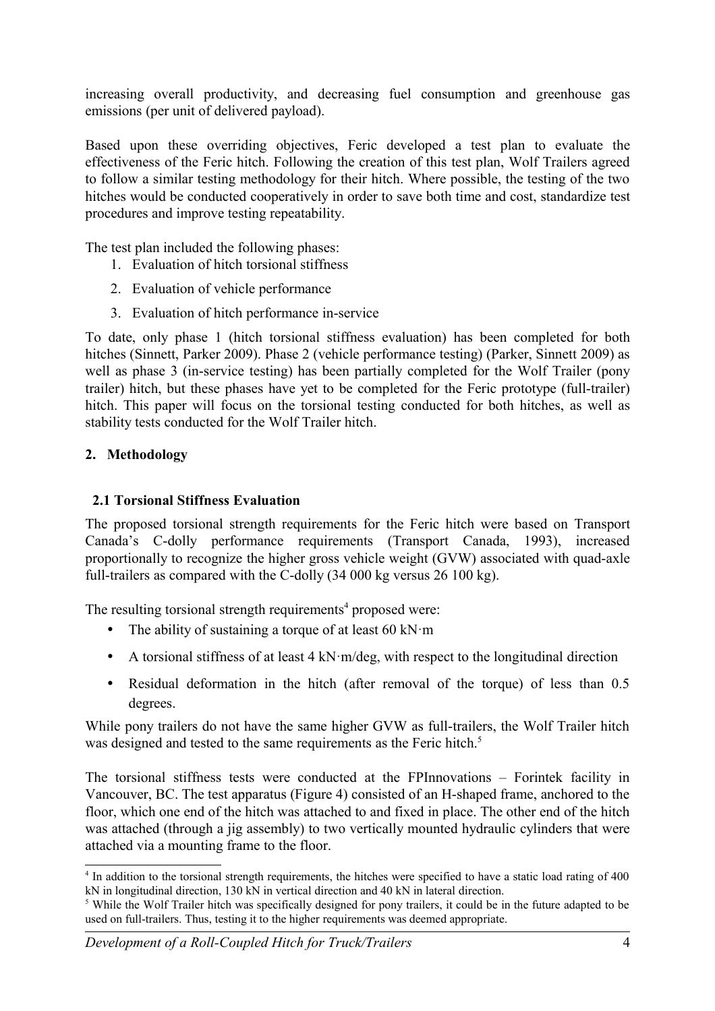increasing overall productivity, and decreasing fuel consumption and greenhouse gas emissions (per unit of delivered payload).

Based upon these overriding objectives, Feric developed a test plan to evaluate the effectiveness of the Feric hitch. Following the creation of this test plan, Wolf Trailers agreed to follow a similar testing methodology for their hitch. Where possible, the testing of the two hitches would be conducted cooperatively in order to save both time and cost, standardize test procedures and improve testing repeatability.

The test plan included the following phases:

- 1. Evaluation of hitch torsional stiffness
- 2. Evaluation of vehicle performance
- 3. Evaluation of hitch performance in-service

To date, only phase 1 (hitch torsional stiffness evaluation) has been completed for both hitches (Sinnett, Parker 2009). Phase 2 (vehicle performance testing) (Parker, Sinnett 2009) as well as phase 3 (in-service testing) has been partially completed for the Wolf Trailer (pony trailer) hitch, but these phases have yet to be completed for the Feric prototype (full-trailer) hitch. This paper will focus on the torsional testing conducted for both hitches, as well as stability tests conducted for the Wolf Trailer hitch.

# **2. Methodology**

## **2.1 Torsional Stiffness Evaluation**

The proposed torsional strength requirements for the Feric hitch were based on Transport Canada's C-dolly performance requirements (Transport Canada, 1993), increased proportionally to recognize the higher gross vehicle weight (GVW) associated with quad-axle full-trailers as compared with the C-dolly (34 000 kg versus 26 100 kg).

The resulting torsional strength requirements<sup>[4](#page-3-0)</sup> proposed were:

- The ability of sustaining a torque of at least 60 kN·m
- A torsional stiffness of at least  $4 \text{ kN·m/deg}$ , with respect to the longitudinal direction
- Residual deformation in the hitch (after removal of the torque) of less than 0.5 degrees.

While pony trailers do not have the same higher GVW as full-trailers, the Wolf Trailer hitch was designed and tested to the same requirements as the Feric hitch.<sup>[5](#page-3-1)</sup>

The torsional stiffness tests were conducted at the FPInnovations – Forintek facility in Vancouver, BC. The test apparatus (Figure 4) consisted of an H-shaped frame, anchored to the floor, which one end of the hitch was attached to and fixed in place. The other end of the hitch was attached (through a jig assembly) to two vertically mounted hydraulic cylinders that were attached via a mounting frame to the floor.

<span id="page-3-0"></span><sup>&</sup>lt;sup>4</sup> In addition to the torsional strength requirements, the hitches were specified to have a static load rating of 400 kN in longitudinal direction, 130 kN in vertical direction and 40 kN in lateral direction.

<span id="page-3-1"></span><sup>&</sup>lt;sup>5</sup> While the Wolf Trailer hitch was specifically designed for pony trailers, it could be in the future adapted to be used on full-trailers. Thus, testing it to the higher requirements was deemed appropriate.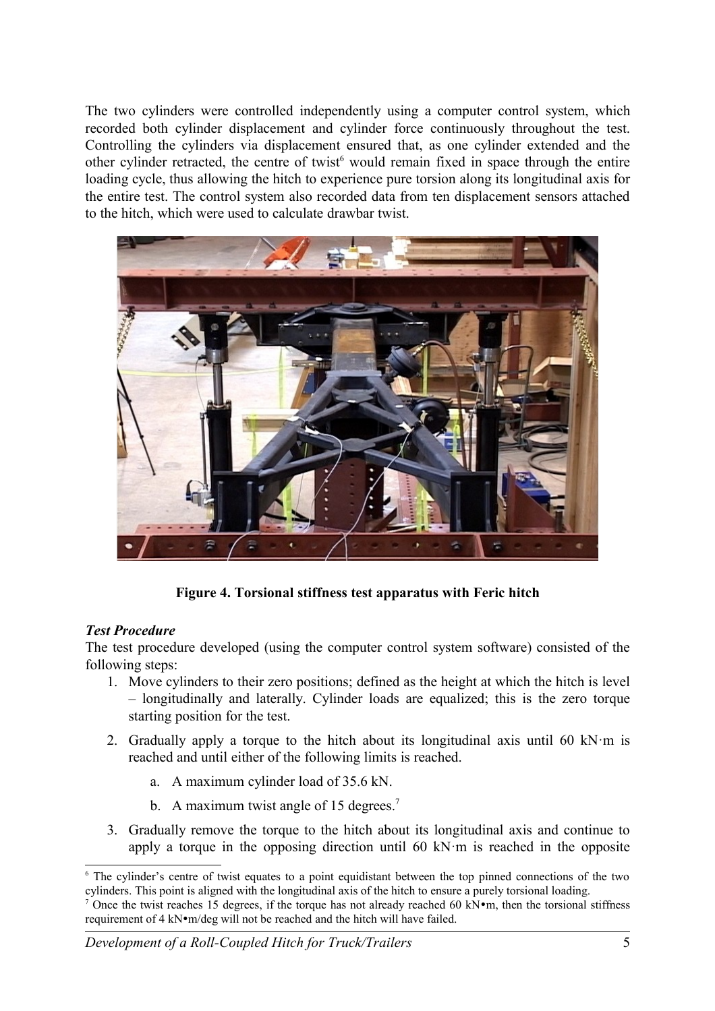The two cylinders were controlled independently using a computer control system, which recorded both cylinder displacement and cylinder force continuously throughout the test. Controlling the cylinders via displacement ensured that, as one cylinder extended and the other cylinder retracted, the centre of twist<sup>[6](#page-4-0)</sup> would remain fixed in space through the entire loading cycle, thus allowing the hitch to experience pure torsion along its longitudinal axis for the entire test. The control system also recorded data from ten displacement sensors attached to the hitch, which were used to calculate drawbar twist.



**Figure 4. Torsional stiffness test apparatus with Feric hitch**

# *Test Procedure*

The test procedure developed (using the computer control system software) consisted of the following steps:

- 1. Move cylinders to their zero positions; defined as the height at which the hitch is level – longitudinally and laterally. Cylinder loads are equalized; this is the zero torque starting position for the test.
- 2. Gradually apply a torque to the hitch about its longitudinal axis until 60 kN·m is reached and until either of the following limits is reached.
	- a. A maximum cylinder load of 35.6 kN.
	- b. A maximum twist angle of 15 degrees.<sup>[7](#page-4-1)</sup>
- 3. Gradually remove the torque to the hitch about its longitudinal axis and continue to apply a torque in the opposing direction until 60 kN·m is reached in the opposite

<span id="page-4-0"></span><sup>&</sup>lt;sup>6</sup> The cylinder's centre of twist equates to a point equidistant between the top pinned connections of the two cylinders. This point is aligned with the longitudinal axis of the hitch to ensure a purely torsional loading.

<span id="page-4-1"></span><sup>&</sup>lt;sup>7</sup> Once the twist reaches 15 degrees, if the torque has not already reached 60 kN $\bullet$ m, then the torsional stiffness requirement of 4 kN•m/deg will not be reached and the hitch will have failed.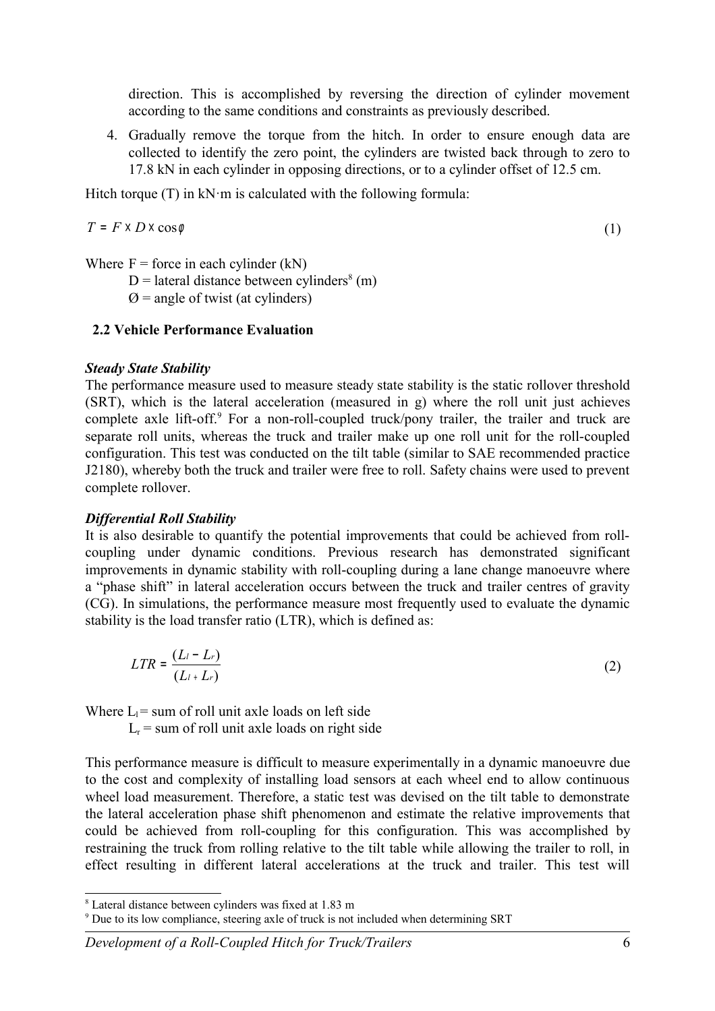direction. This is accomplished by reversing the direction of cylinder movement according to the same conditions and constraints as previously described.

4. Gradually remove the torque from the hitch. In order to ensure enough data are collected to identify the zero point, the cylinders are twisted back through to zero to 17.8 kN in each cylinder in opposing directions, or to a cylinder offset of 12.5 cm.

Hitch torque  $(T)$  in kN·m is calculated with the following formula:

 $T = F \times D \times \cos \phi$  (1)

Where  $F =$  force in each cylinder  $(kN)$ 

 $D =$  lateral distance between cylinders<sup>[8](#page-5-0)</sup> (m)

 $\varnothing$  = angle of twist (at cylinders)

#### **2.2 Vehicle Performance Evaluation**

#### *Steady State Stability*

The performance measure used to measure steady state stability is the static rollover threshold (SRT), which is the lateral acceleration (measured in g) where the roll unit just achieves complete axle lift-off.<sup>[9](#page-5-1)</sup> For a non-roll-coupled truck/pony trailer, the trailer and truck are separate roll units, whereas the truck and trailer make up one roll unit for the roll-coupled configuration. This test was conducted on the tilt table (similar to SAE recommended practice J2180), whereby both the truck and trailer were free to roll. Safety chains were used to prevent complete rollover.

#### *Differential Roll Stability*

It is also desirable to quantify the potential improvements that could be achieved from rollcoupling under dynamic conditions. Previous research has demonstrated significant improvements in dynamic stability with roll-coupling during a lane change manoeuvre where a "phase shift" in lateral acceleration occurs between the truck and trailer centres of gravity (CG). In simulations, the performance measure most frequently used to evaluate the dynamic stability is the load transfer ratio (LTR), which is defined as:

$$
LTR = \frac{(L_i - L_r)}{(L_i + L_r)}
$$
 (2)

Where  $L_1$  = sum of roll unit axle loads on left side

 $L<sub>r</sub>$  = sum of roll unit axle loads on right side

This performance measure is difficult to measure experimentally in a dynamic manoeuvre due to the cost and complexity of installing load sensors at each wheel end to allow continuous wheel load measurement. Therefore, a static test was devised on the tilt table to demonstrate the lateral acceleration phase shift phenomenon and estimate the relative improvements that could be achieved from roll-coupling for this configuration. This was accomplished by restraining the truck from rolling relative to the tilt table while allowing the trailer to roll, in effect resulting in different lateral accelerations at the truck and trailer. This test will

<span id="page-5-0"></span><sup>8</sup> Lateral distance between cylinders was fixed at 1.83 m

<span id="page-5-1"></span><sup>&</sup>lt;sup>9</sup> Due to its low compliance, steering axle of truck is not included when determining SRT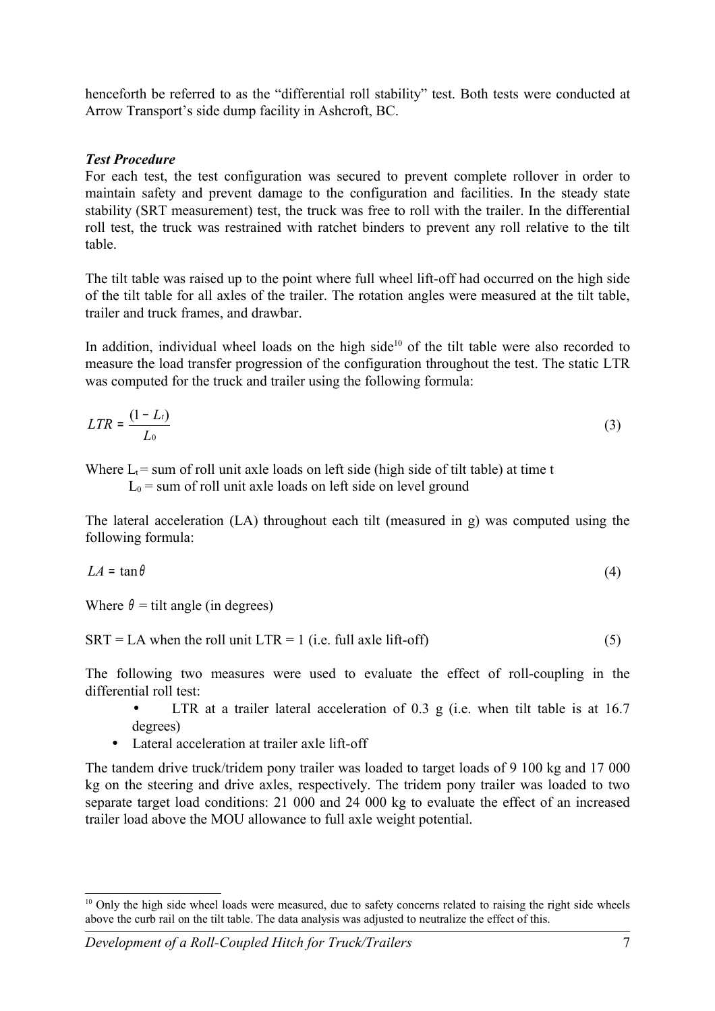henceforth be referred to as the "differential roll stability" test. Both tests were conducted at Arrow Transport's side dump facility in Ashcroft, BC.

#### *Test Procedure*

For each test, the test configuration was secured to prevent complete rollover in order to maintain safety and prevent damage to the configuration and facilities. In the steady state stability (SRT measurement) test, the truck was free to roll with the trailer. In the differential roll test, the truck was restrained with ratchet binders to prevent any roll relative to the tilt table.

The tilt table was raised up to the point where full wheel lift-off had occurred on the high side of the tilt table for all axles of the trailer. The rotation angles were measured at the tilt table, trailer and truck frames, and drawbar.

In addition, individual wheel loads on the high side<sup>[10](#page-6-0)</sup> of the tilt table were also recorded to measure the load transfer progression of the configuration throughout the test. The static LTR was computed for the truck and trailer using the following formula:

$$
LTR = \frac{(1 - L_t)}{L_0} \tag{3}
$$

Where  $L_t$  = sum of roll unit axle loads on left side (high side of tilt table) at time t  $L_0$  = sum of roll unit axle loads on left side on level ground

The lateral acceleration (LA) throughout each tilt (measured in g) was computed using the following formula:

$$
LA = \tan \theta \tag{4}
$$

Where  $\theta$  = tilt angle (in degrees)

$$
SRT = LA when the roll unit LTR = 1 (i.e. full axle lift-off)
$$
 (5)

The following two measures were used to evaluate the effect of roll-coupling in the differential roll test:

- LTR at a trailer lateral acceleration of  $0.3$  g (i.e. when tilt table is at  $16.7$ degrees)
- Lateral acceleration at trailer axle lift-off

The tandem drive truck/tridem pony trailer was loaded to target loads of 9 100 kg and 17 000 kg on the steering and drive axles, respectively. The tridem pony trailer was loaded to two separate target load conditions: 21 000 and 24 000 kg to evaluate the effect of an increased trailer load above the MOU allowance to full axle weight potential.

<span id="page-6-0"></span> $10$  Only the high side wheel loads were measured, due to safety concerns related to raising the right side wheels above the curb rail on the tilt table. The data analysis was adjusted to neutralize the effect of this.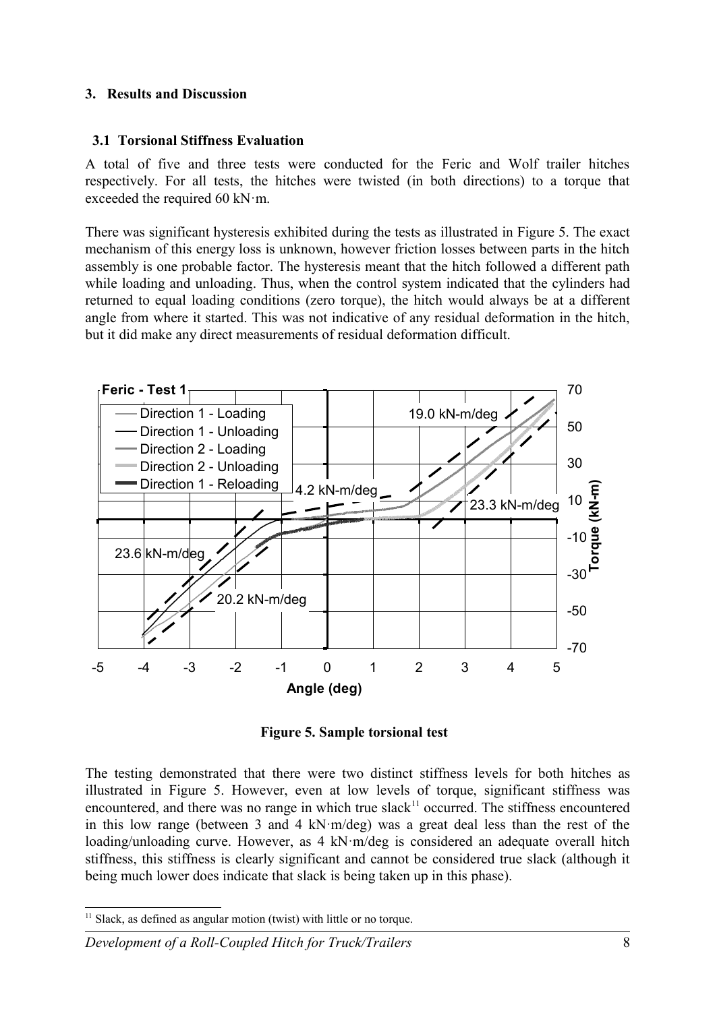#### **3. Results and Discussion**

#### **3.1 Torsional Stiffness Evaluation**

A total of five and three tests were conducted for the Feric and Wolf trailer hitches respectively. For all tests, the hitches were twisted (in both directions) to a torque that exceeded the required 60 kN $\cdot$ m.

There was significant hysteresis exhibited during the tests as illustrated in Figure 5. The exact mechanism of this energy loss is unknown, however friction losses between parts in the hitch assembly is one probable factor. The hysteresis meant that the hitch followed a different path while loading and unloading. Thus, when the control system indicated that the cylinders had returned to equal loading conditions (zero torque), the hitch would always be at a different angle from where it started. This was not indicative of any residual deformation in the hitch, but it did make any direct measurements of residual deformation difficult.



**Figure 5. Sample torsional test** 

The testing demonstrated that there were two distinct stiffness levels for both hitches as illustrated in Figure 5. However, even at low levels of torque, significant stiffness was encountered, and there was no range in which true slack<sup>[11](#page-7-0)</sup> occurred. The stiffness encountered in this low range (between 3 and 4 kN·m/deg) was a great deal less than the rest of the loading/unloading curve. However, as 4 kN·m/deg is considered an adequate overall hitch stiffness, this stiffness is clearly significant and cannot be considered true slack (although it being much lower does indicate that slack is being taken up in this phase).

<span id="page-7-0"></span><sup>&</sup>lt;sup>11</sup> Slack, as defined as angular motion (twist) with little or no torque.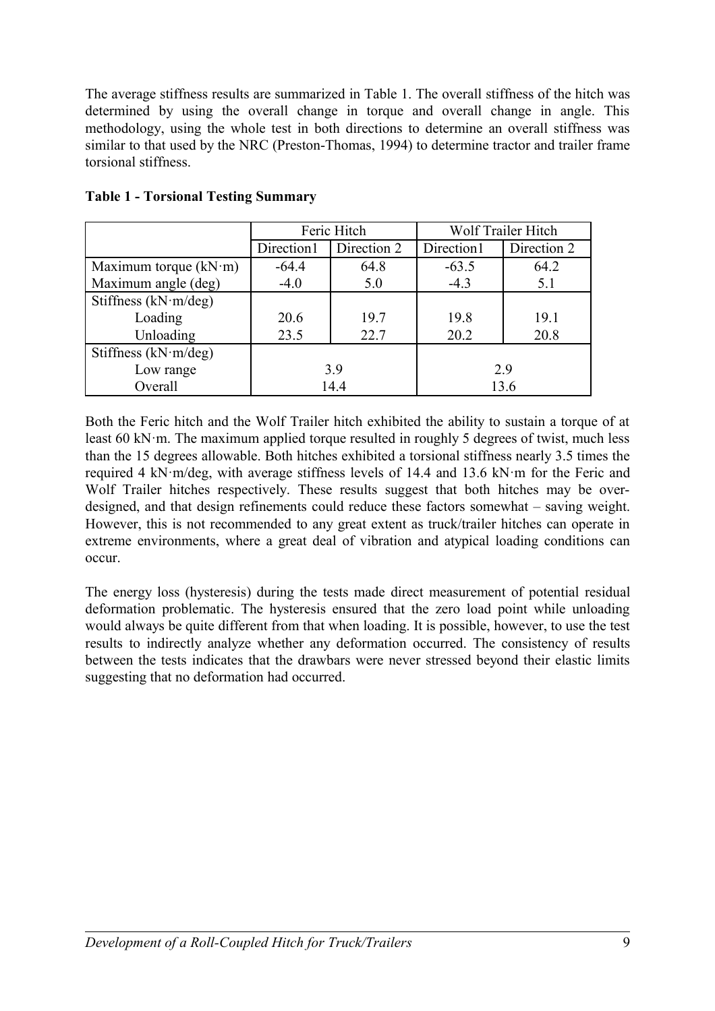The average stiffness results are summarized in Table 1. The overall stiffness of the hitch was determined by using the overall change in torque and overall change in angle. This methodology, using the whole test in both directions to determine an overall stiffness was similar to that used by the NRC (Preston-Thomas, 1994) to determine tractor and trailer frame torsional stiffness.

|                               | Feric Hitch |             | Wolf Trailer Hitch |             |
|-------------------------------|-------------|-------------|--------------------|-------------|
|                               | Direction1  | Direction 2 | Direction1         | Direction 2 |
| Maximum torque $(kN \cdot m)$ | $-64.4$     | 64.8        | $-63.5$            | 64.2        |
| Maximum angle (deg)           | $-4.0$      | 5.0         | $-4.3$             | 5.1         |
| Stiffness $(kN·m/deg)$        |             |             |                    |             |
| Loading                       | 20.6        | 19.7        | 19.8               | 19.1        |
| Unloading                     | 23.5        | 22.7        | 20.2               | 20.8        |
| Stiffness $(kN·m/deg)$        |             |             |                    |             |
| Low range                     | 3.9         |             | 2.9                |             |
| Overall                       | 14.4        |             | 13.6               |             |

#### **Table 1 - Torsional Testing Summary**

Both the Feric hitch and the Wolf Trailer hitch exhibited the ability to sustain a torque of at least 60 kN·m. The maximum applied torque resulted in roughly 5 degrees of twist, much less than the 15 degrees allowable. Both hitches exhibited a torsional stiffness nearly 3.5 times the required 4 kN·m/deg, with average stiffness levels of 14.4 and 13.6 kN·m for the Feric and Wolf Trailer hitches respectively. These results suggest that both hitches may be overdesigned, and that design refinements could reduce these factors somewhat – saving weight. However, this is not recommended to any great extent as truck/trailer hitches can operate in extreme environments, where a great deal of vibration and atypical loading conditions can occur.

The energy loss (hysteresis) during the tests made direct measurement of potential residual deformation problematic. The hysteresis ensured that the zero load point while unloading would always be quite different from that when loading. It is possible, however, to use the test results to indirectly analyze whether any deformation occurred. The consistency of results between the tests indicates that the drawbars were never stressed beyond their elastic limits suggesting that no deformation had occurred.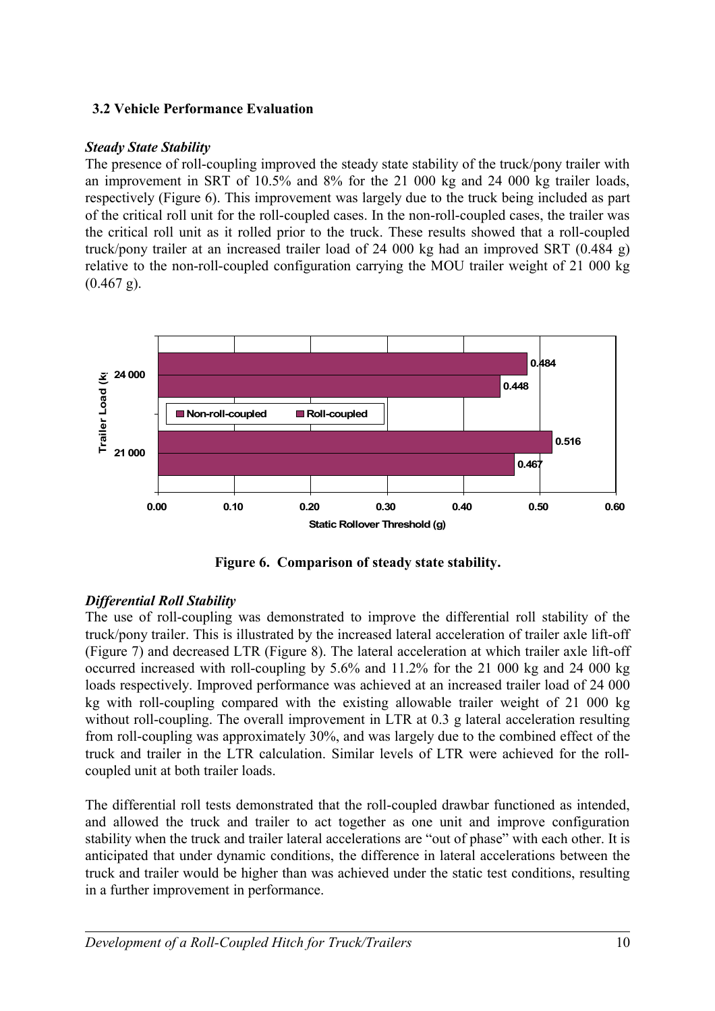# **3.2 Vehicle Performance Evaluation**

## *Steady State Stability*

The presence of roll-coupling improved the steady state stability of the truck/pony trailer with an improvement in SRT of 10.5% and 8% for the 21 000 kg and 24 000 kg trailer loads, respectively (Figure 6). This improvement was largely due to the truck being included as part of the critical roll unit for the roll-coupled cases. In the non-roll-coupled cases, the trailer was the critical roll unit as it rolled prior to the truck. These results showed that a roll-coupled truck/pony trailer at an increased trailer load of 24 000 kg had an improved SRT (0.484 g) relative to the non-roll-coupled configuration carrying the MOU trailer weight of 21 000 kg  $(0.467 \text{ g})$ .



**Figure 6. Comparison of steady state stability.**

# *Differential Roll Stability*

The use of roll-coupling was demonstrated to improve the differential roll stability of the truck/pony trailer. This is illustrated by the increased lateral acceleration of trailer axle lift-off (Figure 7) and decreased LTR (Figure 8). The lateral acceleration at which trailer axle lift-off occurred increased with roll-coupling by 5.6% and 11.2% for the 21 000 kg and 24 000 kg loads respectively. Improved performance was achieved at an increased trailer load of 24 000 kg with roll-coupling compared with the existing allowable trailer weight of 21 000 kg without roll-coupling. The overall improvement in LTR at 0.3 g lateral acceleration resulting from roll-coupling was approximately 30%, and was largely due to the combined effect of the truck and trailer in the LTR calculation. Similar levels of LTR were achieved for the rollcoupled unit at both trailer loads.

The differential roll tests demonstrated that the roll-coupled drawbar functioned as intended, and allowed the truck and trailer to act together as one unit and improve configuration stability when the truck and trailer lateral accelerations are "out of phase" with each other. It is anticipated that under dynamic conditions, the difference in lateral accelerations between the truck and trailer would be higher than was achieved under the static test conditions, resulting in a further improvement in performance.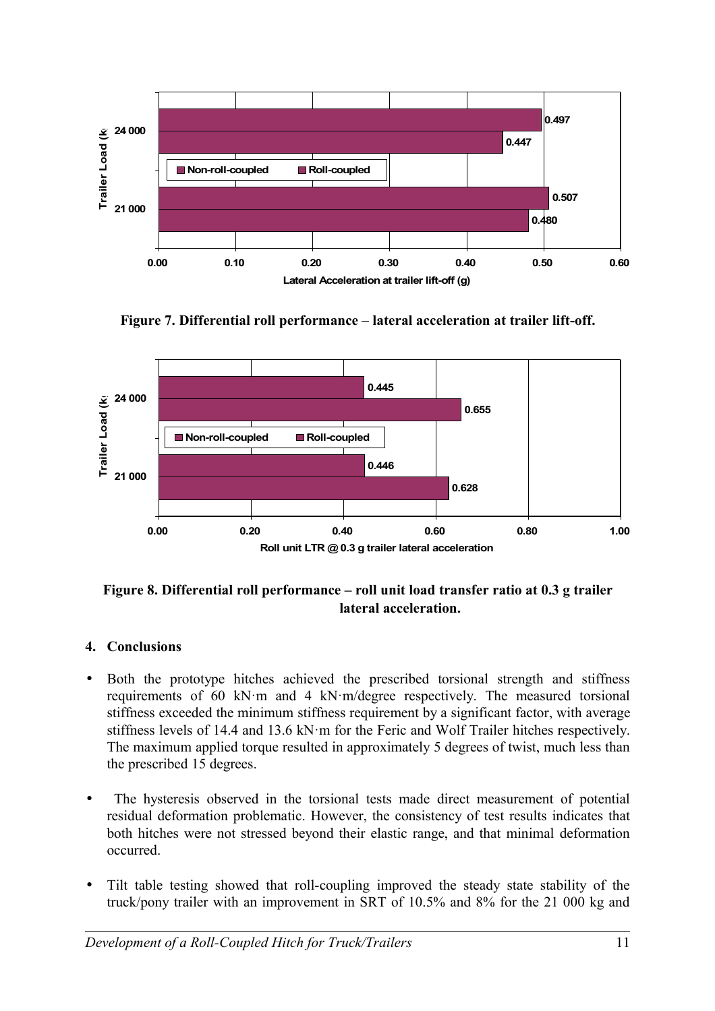

**Figure 7. Differential roll performance – lateral acceleration at trailer lift-off.**



# **Figure 8. Differential roll performance – roll unit load transfer ratio at 0.3 g trailer lateral acceleration.**

# **4. Conclusions**

- Both the prototype hitches achieved the prescribed torsional strength and stiffness requirements of 60 kN·m and 4 kN·m/degree respectively. The measured torsional stiffness exceeded the minimum stiffness requirement by a significant factor, with average stiffness levels of 14.4 and 13.6 kN·m for the Feric and Wolf Trailer hitches respectively. The maximum applied torque resulted in approximately 5 degrees of twist, much less than the prescribed 15 degrees.
- The hysteresis observed in the torsional tests made direct measurement of potential residual deformation problematic. However, the consistency of test results indicates that both hitches were not stressed beyond their elastic range, and that minimal deformation occurred.
- Tilt table testing showed that roll-coupling improved the steady state stability of the truck/pony trailer with an improvement in SRT of 10.5% and 8% for the 21 000 kg and